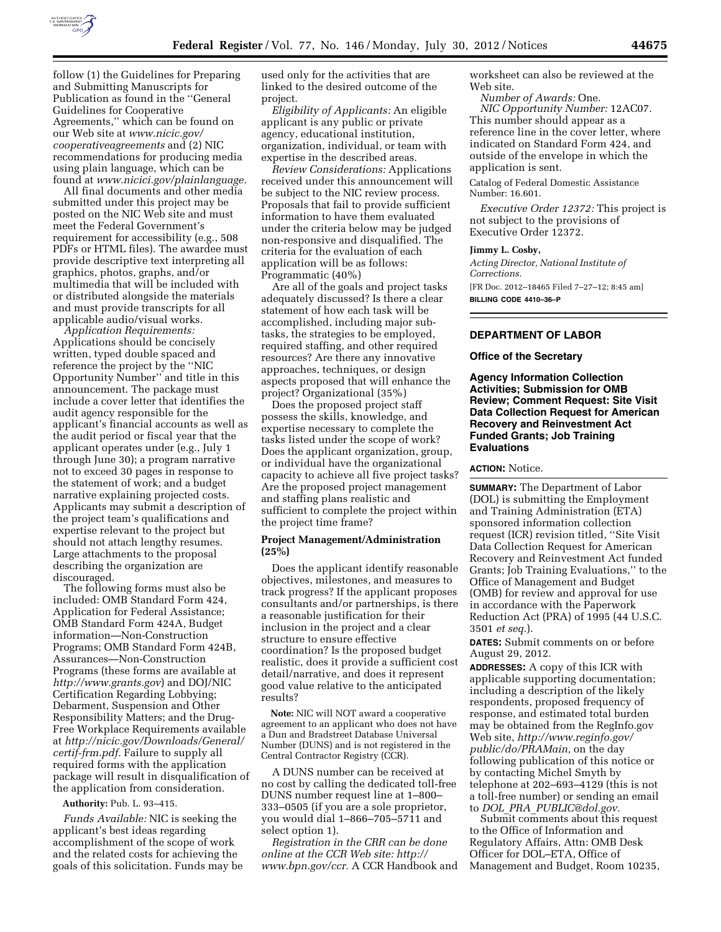

follow (1) the Guidelines for Preparing and Submitting Manuscripts for Publication as found in the ''General Guidelines for Cooperative Agreements,'' which can be found on our Web site at *[www.nicic.gov/](http://www.nicic.gov/cooperativeagreements)  [cooperativeagreements](http://www.nicic.gov/cooperativeagreements)* and (2) NIC recommendations for producing media using plain language, which can be found at *[www.nicici.gov/plainlanguage.](http://www.nicici.gov/plainlanguage)* 

All final documents and other media submitted under this project may be posted on the NIC Web site and must meet the Federal Government's requirement for accessibility (e.g., 508 PDFs or HTML files). The awardee must provide descriptive text interpreting all graphics, photos, graphs, and/or multimedia that will be included with or distributed alongside the materials and must provide transcripts for all applicable audio/visual works.

*Application Requirements:*  Applications should be concisely written, typed double spaced and reference the project by the ''NIC Opportunity Number'' and title in this announcement. The package must include a cover letter that identifies the audit agency responsible for the applicant's financial accounts as well as the audit period or fiscal year that the applicant operates under (e.g., July 1 through June 30); a program narrative not to exceed 30 pages in response to the statement of work; and a budget narrative explaining projected costs. Applicants may submit a description of the project team's qualifications and expertise relevant to the project but should not attach lengthy resumes. Large attachments to the proposal describing the organization are discouraged.

The following forms must also be included: OMB Standard Form 424, Application for Federal Assistance; OMB Standard Form 424A, Budget information—Non-Construction Programs; OMB Standard Form 424B, Assurances—Non-Construction Programs (these forms are available at *<http://www.grants.gov>*) and DOJ/NIC Certification Regarding Lobbying; Debarment, Suspension and Other Responsibility Matters; and the Drug-Free Workplace Requirements available at *[http://nicic.gov/Downloads/General/](http://nicic.gov/Downloads/General/certif-frm.pdf) [certif-frm.pdf.](http://nicic.gov/Downloads/General/certif-frm.pdf)* Failure to supply all required forms with the application package will result in disqualification of the application from consideration.

#### **Authority:** Pub. L. 93–415.

*Funds Available:* NIC is seeking the applicant's best ideas regarding accomplishment of the scope of work and the related costs for achieving the goals of this solicitation. Funds may be used only for the activities that are linked to the desired outcome of the project.

*Eligibility of Applicants:* An eligible applicant is any public or private agency, educational institution, organization, individual, or team with expertise in the described areas.

*Review Considerations:* Applications received under this announcement will be subject to the NIC review process. Proposals that fail to provide sufficient information to have them evaluated under the criteria below may be judged non-responsive and disqualified. The criteria for the evaluation of each application will be as follows: Programmatic (40%)

Are all of the goals and project tasks adequately discussed? Is there a clear statement of how each task will be accomplished, including major subtasks, the strategies to be employed, required staffing, and other required resources? Are there any innovative approaches, techniques, or design aspects proposed that will enhance the project? Organizational (35%)

Does the proposed project staff possess the skills, knowledge, and expertise necessary to complete the tasks listed under the scope of work? Does the applicant organization, group, or individual have the organizational capacity to achieve all five project tasks? Are the proposed project management and staffing plans realistic and sufficient to complete the project within the project time frame?

### **Project Management/Administration (25%)**

Does the applicant identify reasonable objectives, milestones, and measures to track progress? If the applicant proposes consultants and/or partnerships, is there a reasonable justification for their inclusion in the project and a clear structure to ensure effective coordination? Is the proposed budget realistic, does it provide a sufficient cost detail/narrative, and does it represent good value relative to the anticipated results?

**Note:** NIC will NOT award a cooperative agreement to an applicant who does not have a Dun and Bradstreet Database Universal Number (DUNS) and is not registered in the Central Contractor Registry (CCR).

A DUNS number can be received at no cost by calling the dedicated toll-free DUNS number request line at 1–800– 333–0505 (if you are a sole proprietor, you would dial 1–866–705–5711 and select option 1).

*Registration in the CRR can be done online at the CCR Web site: [http://](http://www.bpn.gov/ccr) [www.bpn.gov/ccr.](http://www.bpn.gov/ccr)* A CCR Handbook and worksheet can also be reviewed at the Web site.

*Number of Awards:* One. *NIC Opportunity Number:* 12AC07. This number should appear as a reference line in the cover letter, where indicated on Standard Form 424, and outside of the envelope in which the application is sent.

Catalog of Federal Domestic Assistance Number: 16.601.

*Executive Order 12372:* This project is not subject to the provisions of Executive Order 12372.

#### **Jimmy L. Cosby,**

*Acting Director, National Institute of Corrections.*  [FR Doc. 2012–18465 Filed 7–27–12; 8:45 am] **BILLING CODE 4410–36–P** 

# **DEPARTMENT OF LABOR**

### **Office of the Secretary**

**Agency Information Collection Activities; Submission for OMB Review; Comment Request: Site Visit Data Collection Request for American Recovery and Reinvestment Act Funded Grants; Job Training Evaluations** 

### **ACTION:** Notice.

**SUMMARY:** The Department of Labor (DOL) is submitting the Employment and Training Administration (ETA) sponsored information collection request (ICR) revision titled, ''Site Visit Data Collection Request for American Recovery and Reinvestment Act funded Grants; Job Training Evaluations,'' to the Office of Management and Budget (OMB) for review and approval for use in accordance with the Paperwork Reduction Act (PRA) of 1995 (44 U.S.C. 3501 *et seq.*).

**DATES:** Submit comments on or before August 29, 2012.

**ADDRESSES:** A copy of this ICR with applicable supporting documentation; including a description of the likely respondents, proposed frequency of response, and estimated total burden may be obtained from the RegInfo.gov Web site, *[http://www.reginfo.gov/](http://www.reginfo.gov/public/do/PRAMain)  [public/do/PRAMain,](http://www.reginfo.gov/public/do/PRAMain)* on the day following publication of this notice or by contacting Michel Smyth by telephone at 202–693–4129 (this is not a toll-free number) or sending an email to *DOL*\_*PRA*\_*[PUBLIC@dol.gov.](mailto:DOL_PRA_PUBLIC@dol.gov)* 

Submit comments about this request to the Office of Information and Regulatory Affairs, Attn: OMB Desk Officer for DOL–ETA, Office of Management and Budget, Room 10235,